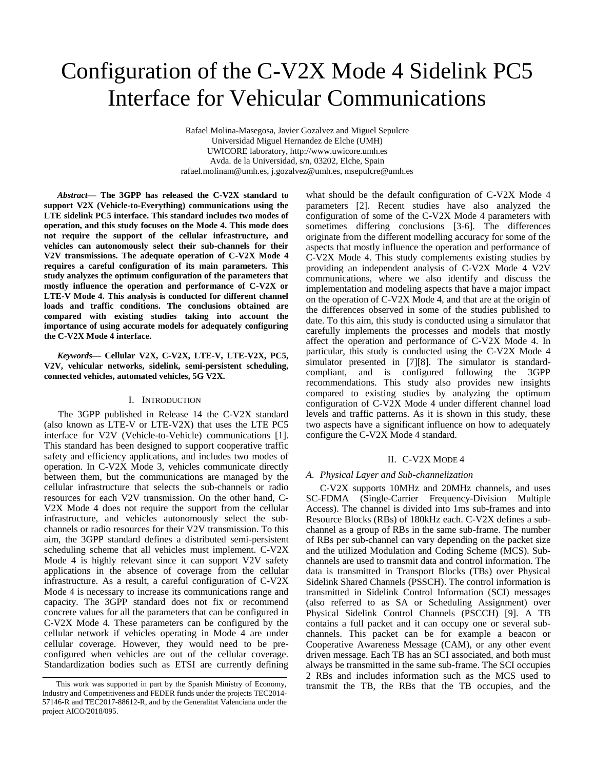# Configuration of the C-V2X Mode 4 Sidelink PC5 Interface for Vehicular Communications

Rafael Molina-Masegosa, Javier Gozalvez and Miguel Sepulcre Universidad Miguel Hernandez de Elche (UMH) UWICORE laboratory, http://www.uwicore.umh.es Avda. de la Universidad, s/n, 03202, Elche, Spain rafael.molinam@umh.es, j.gozalvez@umh.es, msepulcre@umh.es

*Abstract***— The 3GPP has released the C-V2X standard to support V2X (Vehicle-to-Everything) communications using the LTE sidelink PC5 interface. This standard includes two modes of operation, and this study focuses on the Mode 4. This mode does not require the support of the cellular infrastructure, and vehicles can autonomously select their sub-channels for their V2V transmissions. The adequate operation of C-V2X Mode 4 requires a careful configuration of its main parameters. This study analyzes the optimum configuration of the parameters that mostly influence the operation and performance of C-V2X or LTE-V Mode 4. This analysis is conducted for different channel loads and traffic conditions. The conclusions obtained are compared with existing studies taking into account the importance of using accurate models for adequately configuring the C-V2X Mode 4 interface.** 

*Keywords—* **Cellular V2X, C-V2X, LTE-V, LTE-V2X, PC5, V2V, vehicular networks, sidelink, semi-persistent scheduling, connected vehicles, automated vehicles, 5G V2X.**

# I. INTRODUCTION

The 3GPP published in Release 14 the C-V2X standard (also known as LTE-V or LTE-V2X) that uses the LTE PC5 interface for V2V (Vehicle-to-Vehicle) communications [1]. This standard has been designed to support cooperative traffic safety and efficiency applications, and includes two modes of operation. In C-V2X Mode 3, vehicles communicate directly between them, but the communications are managed by the cellular infrastructure that selects the sub-channels or radio resources for each V2V transmission. On the other hand, C-V2X Mode 4 does not require the support from the cellular infrastructure, and vehicles autonomously select the subchannels or radio resources for their V2V transmission. To this aim, the 3GPP standard defines a distributed semi-persistent scheduling scheme that all vehicles must implement. C-V2X Mode 4 is highly relevant since it can support V2V safety applications in the absence of coverage from the cellular infrastructure. As a result, a careful configuration of C-V2X Mode 4 is necessary to increase its communications range and capacity. The 3GPP standard does not fix or recommend concrete values for all the parameters that can be configured in C-V2X Mode 4. These parameters can be configured by the cellular network if vehicles operating in Mode 4 are under cellular coverage. However, they would need to be preconfigured when vehicles are out of the cellular coverage. Standardization bodies such as ETSI are currently defining

what should be the default configuration of C-V2X Mode 4 parameters [2]. Recent studies have also analyzed the configuration of some of the C-V2X Mode 4 parameters with sometimes differing conclusions [3-6]. The differences originate from the different modelling accuracy for some of the aspects that mostly influence the operation and performance of C-V2X Mode 4. This study complements existing studies by providing an independent analysis of C-V2X Mode 4 V2V communications, where we also identify and discuss the implementation and modeling aspects that have a major impact on the operation of C-V2X Mode 4, and that are at the origin of the differences observed in some of the studies published to date. To this aim, this study is conducted using a simulator that carefully implements the processes and models that mostly affect the operation and performance of C-V2X Mode 4. In particular, this study is conducted using the C-V2X Mode 4 simulator presented in [7][8]. The simulator is standardcompliant, and is configured following the 3GPP recommendations. This study also provides new insights compared to existing studies by analyzing the optimum configuration of C-V2X Mode 4 under different channel load levels and traffic patterns. As it is shown in this study, these two aspects have a significant influence on how to adequately configure the C-V2X Mode 4 standard.

# II. C-V2X MODE 4

# *A. Physical Layer and Sub-channelization*

C-V2X supports 10MHz and 20MHz channels, and uses SC-FDMA (Single-Carrier Frequency-Division Multiple Access). The channel is divided into 1ms sub-frames and into Resource Blocks (RBs) of 180kHz each. C-V2X defines a subchannel as a group of RBs in the same sub-frame. The number of RBs per sub-channel can vary depending on the packet size and the utilized Modulation and Coding Scheme (MCS). Subchannels are used to transmit data and control information. The data is transmitted in Transport Blocks (TBs) over Physical Sidelink Shared Channels (PSSCH). The control information is transmitted in Sidelink Control Information (SCI) messages (also referred to as SA or Scheduling Assignment) over Physical Sidelink Control Channels (PSCCH) [9]. A TB contains a full packet and it can occupy one or several subchannels. This packet can be for example a beacon or Cooperative Awareness Message (CAM), or any other event driven message. Each TB has an SCI associated, and both must always be transmitted in the same sub-frame. The SCI occupies 2 RBs and includes information such as the MCS used to This work was supported in part by the Spanish Ministry of Economy, transmit the TB, the RBs that the TB occupies, and the

Industry and Competitiveness and FEDER funds under the projects TEC2014- 57146-R and TEC2017-88612-R, and by the Generalitat Valenciana under the project AICO/2018/095.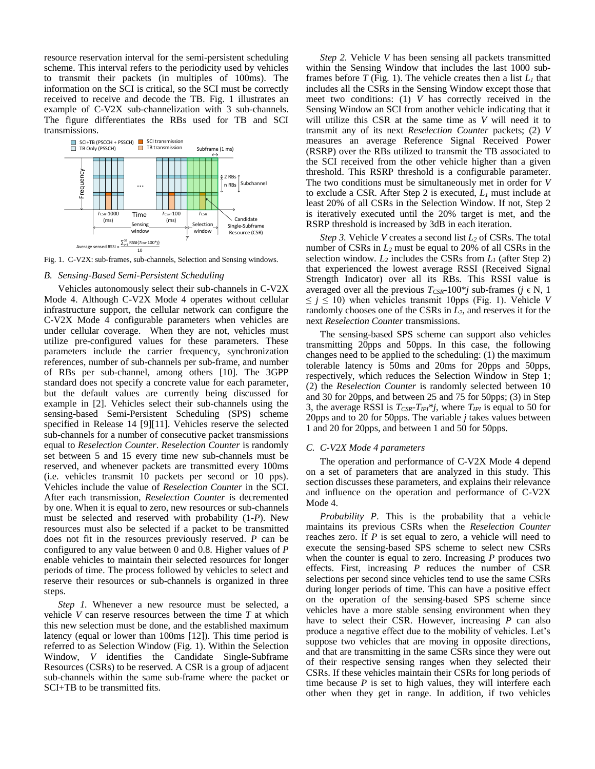resource reservation interval for the semi-persistent scheduling scheme. This interval refers to the periodicity used by vehicles to transmit their packets (in multiples of 100ms). The information on the SCI is critical, so the SCI must be correctly received to receive and decode the TB. Fig. 1 illustrates an example of C-V2X sub-channelization with 3 sub-channels. The figure differentiates the RBs used for TB and SCI transmissions.



Fig. 1. C-V2X: sub-frames, sub-channels, Selection and Sensing windows.

## *B. Sensing-Based Semi-Persistent Scheduling*

Vehicles autonomously select their sub-channels in C-V2X Mode 4. Although C-V2X Mode 4 operates without cellular infrastructure support, the cellular network can configure the C-V2X Mode 4 configurable parameters when vehicles are under cellular coverage. When they are not, vehicles must utilize pre-configured values for these parameters. These parameters include the carrier frequency, synchronization references, number of sub-channels per sub-frame, and number of RBs per sub-channel, among others [10]. The 3GPP standard does not specify a concrete value for each parameter, but the default values are currently being discussed for example in [2]. Vehicles select their sub-channels using the sensing-based Semi-Persistent Scheduling (SPS) scheme specified in Release 14 [9][11]. Vehicles reserve the selected sub-channels for a number of consecutive packet transmissions equal to *Reselection Counter*. *Reselection Counter* is randomly set between 5 and 15 every time new sub-channels must be reserved, and whenever packets are transmitted every 100ms (i.e. vehicles transmit 10 packets per second or 10 pps). Vehicles include the value of *Reselection Counter* in the SCI. After each transmission, *Reselection Counter* is decremented by one. When it is equal to zero, new resources or sub-channels must be selected and reserved with probability (1-*P*). New resources must also be selected if a packet to be transmitted does not fit in the resources previously reserved. *P* can be configured to any value between 0 and 0.8. Higher values of *P* enable vehicles to maintain their selected resources for longer periods of time. The process followed by vehicles to select and reserve their resources or sub-channels is organized in three steps.

*Step 1.* Whenever a new resource must be selected, a vehicle *V* can reserve resources between the time *T* at which this new selection must be done, and the established maximum latency (equal or lower than 100ms [12]). This time period is referred to as Selection Window (Fig. 1). Within the Selection Window, *V* identifies the Candidate Single-Subframe Resources (CSRs) to be reserved. A CSR is a group of adjacent sub-channels within the same sub-frame where the packet or SCI+TB to be transmitted fits.

*Step 2.* Vehicle *V* has been sensing all packets transmitted within the Sensing Window that includes the last 1000 subframes before *T* (Fig. 1). The vehicle creates then a list  $L_1$  that includes all the CSRs in the Sensing Window except those that meet two conditions: (1) *V* has correctly received in the Sensing Window an SCI from another vehicle indicating that it will utilize this CSR at the same time as *V* will need it to transmit any of its next *Reselection Counter* packets; (2) *V* measures an average Reference Signal Received Power (RSRP) over the RBs utilized to transmit the TB associated to the SCI received from the other vehicle higher than a given threshold. This RSRP threshold is a configurable parameter. The two conditions must be simultaneously met in order for *V* to exclude a CSR. After Step 2 is executed, *L<sup>1</sup>* must include at least 20% of all CSRs in the Selection Window. If not, Step 2 is iteratively executed until the 20% target is met, and the RSRP threshold is increased by 3dB in each iteration.

*Step 3.* Vehicle *V* creates a second list *L<sup>2</sup>* of CSRs. The total number of CSRs in *L<sup>2</sup>* must be equal to 20% of all CSRs in the selection window.  $L_2$  includes the CSRs from  $L_1$  (after Step 2) that experienced the lowest average RSSI (Received Signal Strength Indicator) over all its RBs. This RSSI value is averaged over all the previous  $T_{CSR}$ -100<sup>\*</sup>*j* sub-frames (*j*  $\in$  N, 1  $\leq j \leq 10$ ) when vehicles transmit 10pps (Fig. 1). Vehicle *V* randomly chooses one of the CSRs in *L2*, and reserves it for the next *Reselection Counter* transmissions.

The sensing-based SPS scheme can support also vehicles transmitting 20pps and 50pps. In this case, the following changes need to be applied to the scheduling: (1) the maximum tolerable latency is 50ms and 20ms for 20pps and 50pps, respectively, which reduces the Selection Window in Step 1; (2) the *Reselection Counter* is randomly selected between 10 and 30 for 20pps, and between 25 and 75 for 50pps; (3) in Step 3, the average RSSI is *TCSR-TIPI*\**j*, where *TIPI* is equal to 50 for 20pps and to 20 for 50pps. The variable *j* takes values between 1 and 20 for 20pps, and between 1 and 50 for 50pps.

## *C. C-V2X Mode 4 parameters*

The operation and performance of C-V2X Mode 4 depend on a set of parameters that are analyzed in this study. This section discusses these parameters, and explains their relevance and influence on the operation and performance of C-V2X Mode 4.

*Probability P*. This is the probability that a vehicle maintains its previous CSRs when the *Reselection Counter* reaches zero. If *P* is set equal to zero, a vehicle will need to execute the sensing-based SPS scheme to select new CSRs when the counter is equal to zero. Increasing *P* produces two effects. First, increasing *P* reduces the number of CSR selections per second since vehicles tend to use the same CSRs during longer periods of time. This can have a positive effect on the operation of the sensing-based SPS scheme since vehicles have a more stable sensing environment when they have to select their CSR. However, increasing *P* can also produce a negative effect due to the mobility of vehicles. Let's suppose two vehicles that are moving in opposite directions, and that are transmitting in the same CSRs since they were out of their respective sensing ranges when they selected their CSRs. If these vehicles maintain their CSRs for long periods of time because *P* is set to high values, they will interfere each other when they get in range. In addition, if two vehicles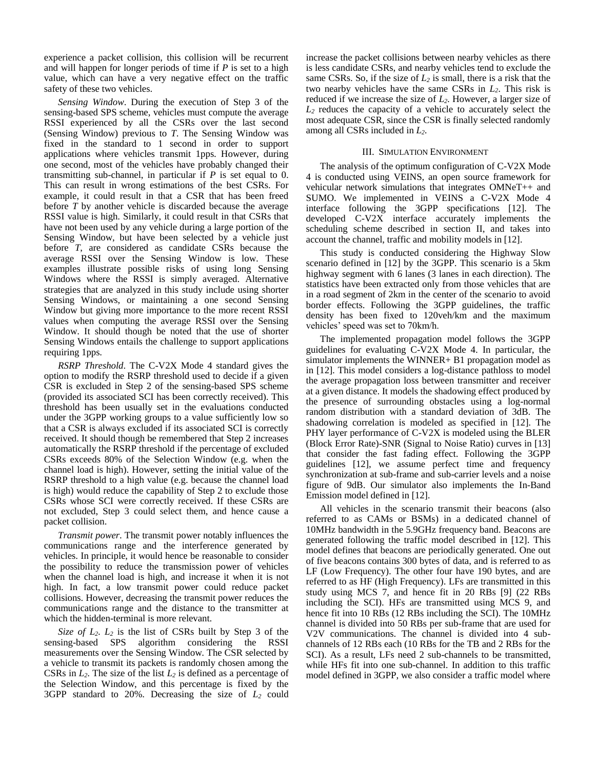experience a packet collision, this collision will be recurrent and will happen for longer periods of time if *P* is set to a high value, which can have a very negative effect on the traffic safety of these two vehicles.

*Sensing Window*. During the execution of Step 3 of the sensing-based SPS scheme, vehicles must compute the average RSSI experienced by all the CSRs over the last second (Sensing Window) previous to *T*. The Sensing Window was fixed in the standard to 1 second in order to support applications where vehicles transmit 1pps. However, during one second, most of the vehicles have probably changed their transmitting sub-channel, in particular if *P* is set equal to 0. This can result in wrong estimations of the best CSRs. For example, it could result in that a CSR that has been freed before *T* by another vehicle is discarded because the average RSSI value is high. Similarly, it could result in that CSRs that have not been used by any vehicle during a large portion of the Sensing Window, but have been selected by a vehicle just before *T*, are considered as candidate CSRs because the average RSSI over the Sensing Window is low. These examples illustrate possible risks of using long Sensing Windows where the RSSI is simply averaged. Alternative strategies that are analyzed in this study include using shorter Sensing Windows, or maintaining a one second Sensing Window but giving more importance to the more recent RSSI values when computing the average RSSI over the Sensing Window. It should though be noted that the use of shorter Sensing Windows entails the challenge to support applications requiring 1pps.

*RSRP Threshold*. The C-V2X Mode 4 standard gives the option to modify the RSRP threshold used to decide if a given CSR is excluded in Step 2 of the sensing-based SPS scheme (provided its associated SCI has been correctly received). This threshold has been usually set in the evaluations conducted under the 3GPP working groups to a value sufficiently low so that a CSR is always excluded if its associated SCI is correctly received. It should though be remembered that Step 2 increases automatically the RSRP threshold if the percentage of excluded CSRs exceeds 80% of the Selection Window (e.g. when the channel load is high). However, setting the initial value of the RSRP threshold to a high value (e.g. because the channel load is high) would reduce the capability of Step 2 to exclude those CSRs whose SCI were correctly received. If these CSRs are not excluded, Step 3 could select them, and hence cause a packet collision.

*Transmit power*. The transmit power notably influences the communications range and the interference generated by vehicles. In principle, it would hence be reasonable to consider the possibility to reduce the transmission power of vehicles when the channel load is high, and increase it when it is not high. In fact, a low transmit power could reduce packet collisions. However, decreasing the transmit power reduces the communications range and the distance to the transmitter at which the hidden-terminal is more relevant.

*Size of L2*. *L<sup>2</sup>* is the list of CSRs built by Step 3 of the sensing-based SPS algorithm considering the RSSI measurements over the Sensing Window. The CSR selected by a vehicle to transmit its packets is randomly chosen among the CSRs in *L2*. The size of the list *L<sup>2</sup>* is defined as a percentage of the Selection Window, and this percentage is fixed by the 3GPP standard to 20%. Decreasing the size of *L<sup>2</sup>* could increase the packet collisions between nearby vehicles as there is less candidate CSRs, and nearby vehicles tend to exclude the same CSRs. So, if the size of *L<sup>2</sup>* is small, there is a risk that the two nearby vehicles have the same CSRs in *L2*. This risk is reduced if we increase the size of *L2*. However, a larger size of *L<sup>2</sup>* reduces the capacity of a vehicle to accurately select the most adequate CSR, since the CSR is finally selected randomly among all CSRs included in *L2*.

# III. SIMULATION ENVIRONMENT

The analysis of the optimum configuration of C-V2X Mode 4 is conducted using VEINS, an open source framework for vehicular network simulations that integrates OMNeT++ and SUMO. We implemented in VEINS a C-V2X Mode 4 interface following the 3GPP specifications [12]. The developed C-V2X interface accurately implements the scheduling scheme described in section II, and takes into account the channel, traffic and mobility models in [12].

This study is conducted considering the Highway Slow scenario defined in [12] by the 3GPP. This scenario is a 5km highway segment with 6 lanes (3 lanes in each direction). The statistics have been extracted only from those vehicles that are in a road segment of 2km in the center of the scenario to avoid border effects. Following the 3GPP guidelines, the traffic density has been fixed to 120veh/km and the maximum vehicles' speed was set to 70km/h.

The implemented propagation model follows the 3GPP guidelines for evaluating C-V2X Mode 4. In particular, the simulator implements the WINNER+ B1 propagation model as in [12]. This model considers a log-distance pathloss to model the average propagation loss between transmitter and receiver at a given distance. It models the shadowing effect produced by the presence of surrounding obstacles using a log-normal random distribution with a standard deviation of 3dB. The shadowing correlation is modeled as specified in [12]. The PHY layer performance of C-V2X is modeled using the BLER (Block Error Rate)-SNR (Signal to Noise Ratio) curves in [13] that consider the fast fading effect. Following the 3GPP guidelines [12], we assume perfect time and frequency synchronization at sub-frame and sub-carrier levels and a noise figure of 9dB. Our simulator also implements the In-Band Emission model defined in [12].

All vehicles in the scenario transmit their beacons (also referred to as CAMs or BSMs) in a dedicated channel of 10MHz bandwidth in the 5.9GHz frequency band. Beacons are generated following the traffic model described in [12]. This model defines that beacons are periodically generated. One out of five beacons contains 300 bytes of data, and is referred to as LF (Low Frequency). The other four have 190 bytes, and are referred to as HF (High Frequency). LFs are transmitted in this study using MCS 7, and hence fit in 20 RBs [9] (22 RBs including the SCI). HFs are transmitted using MCS 9, and hence fit into 10 RBs (12 RBs including the SCI). The 10MHz channel is divided into 50 RBs per sub-frame that are used for V2V communications. The channel is divided into 4 subchannels of 12 RBs each (10 RBs for the TB and 2 RBs for the SCI). As a result, LFs need 2 sub-channels to be transmitted, while HFs fit into one sub-channel. In addition to this traffic model defined in 3GPP, we also consider a traffic model where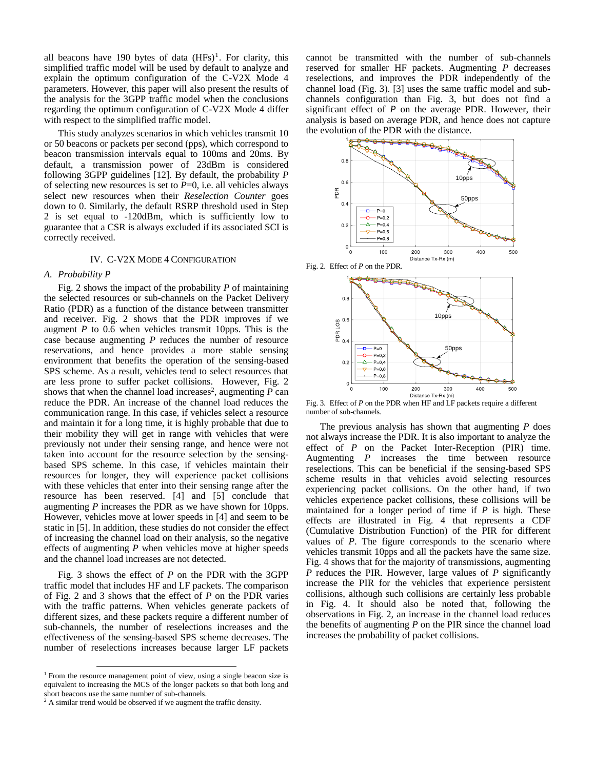all beacons have 190 bytes of data  $(HFs)^1$ . For clarity, this simplified traffic model will be used by default to analyze and explain the optimum configuration of the C-V2X Mode 4 parameters. However, this paper will also present the results of the analysis for the 3GPP traffic model when the conclusions regarding the optimum configuration of C-V2X Mode 4 differ with respect to the simplified traffic model.

This study analyzes scenarios in which vehicles transmit 10 or 50 beacons or packets per second (pps), which correspond to beacon transmission intervals equal to 100ms and 20ms. By default, a transmission power of 23dBm is considered following 3GPP guidelines [12]. By default, the probability *P* of selecting new resources is set to  $P=0$ , i.e. all vehicles always select new resources when their *Reselection Counter* goes down to 0. Similarly, the default RSRP threshold used in Step 2 is set equal to -120dBm, which is sufficiently low to guarantee that a CSR is always excluded if its associated SCI is correctly received.

#### IV. C-V2X MODE 4 CONFIGURATION

#### *A. Probability P*

Fig. 2 shows the impact of the probability *P* of maintaining the selected resources or sub-channels on the Packet Delivery Ratio (PDR) as a function of the distance between transmitter and receiver. Fig. 2 shows that the PDR improves if we augment *P* to 0.6 when vehicles transmit 10pps. This is the case because augmenting *P* reduces the number of resource reservations, and hence provides a more stable sensing environment that benefits the operation of the sensing-based SPS scheme. As a result, vehicles tend to select resources that are less prone to suffer packet collisions. However, Fig. 2 shows that when the channel load increases<sup>2</sup>, augmenting  $P$  can reduce the PDR. An increase of the channel load reduces the communication range. In this case, if vehicles select a resource and maintain it for a long time, it is highly probable that due to their mobility they will get in range with vehicles that were previously not under their sensing range, and hence were not taken into account for the resource selection by the sensingbased SPS scheme. In this case, if vehicles maintain their resources for longer, they will experience packet collisions with these vehicles that enter into their sensing range after the resource has been reserved. [4] and [5] conclude that augmenting *P* increases the PDR as we have shown for 10pps. However, vehicles move at lower speeds in [4] and seem to be static in [5]. In addition, these studies do not consider the effect of increasing the channel load on their analysis, so the negative effects of augmenting *P* when vehicles move at higher speeds and the channel load increases are not detected.

Fig. 3 shows the effect of *P* on the PDR with the 3GPP traffic model that includes HF and LF packets. The comparison of Fig. 2 and 3 shows that the effect of *P* on the PDR varies with the traffic patterns. When vehicles generate packets of different sizes, and these packets require a different number of sub-channels, the number of reselections increases and the effectiveness of the sensing-based SPS scheme decreases. The number of reselections increases because larger LF packets

l

cannot be transmitted with the number of sub-channels reserved for smaller HF packets. Augmenting *P* decreases reselections, and improves the PDR independently of the channel load (Fig. 3). [3] uses the same traffic model and subchannels configuration than Fig. 3, but does not find a significant effect of *P* on the average PDR. However, their analysis is based on average PDR, and hence does not capture the evolution of the PDR with the distance.





Fig. 3. Effect of *P* on the PDR when HF and LF packets require a different number of sub-channels.

The previous analysis has shown that augmenting *P* does not always increase the PDR. It is also important to analyze the effect of *P* on the Packet Inter-Reception (PIR) time. Augmenting *P* increases the time between resource reselections. This can be beneficial if the sensing-based SPS scheme results in that vehicles avoid selecting resources experiencing packet collisions. On the other hand, if two vehicles experience packet collisions, these collisions will be maintained for a longer period of time if *P* is high. These effects are illustrated in Fig. 4 that represents a CDF (Cumulative Distribution Function) of the PIR for different values of *P*. The figure corresponds to the scenario where vehicles transmit 10pps and all the packets have the same size. Fig. 4 shows that for the majority of transmissions, augmenting *P* reduces the PIR. However, large values of *P* significantly increase the PIR for the vehicles that experience persistent collisions, although such collisions are certainly less probable in Fig. 4. It should also be noted that, following the observations in Fig. 2, an increase in the channel load reduces the benefits of augmenting *P* on the PIR since the channel load increases the probability of packet collisions.

<sup>&</sup>lt;sup>1</sup> From the resource management point of view, using a single beacon size is equivalent to increasing the MCS of the longer packets so that both long and short beacons use the same number of sub-channels.

 $2 \text{ A similar trend would be observed if we augment the traffic density.}$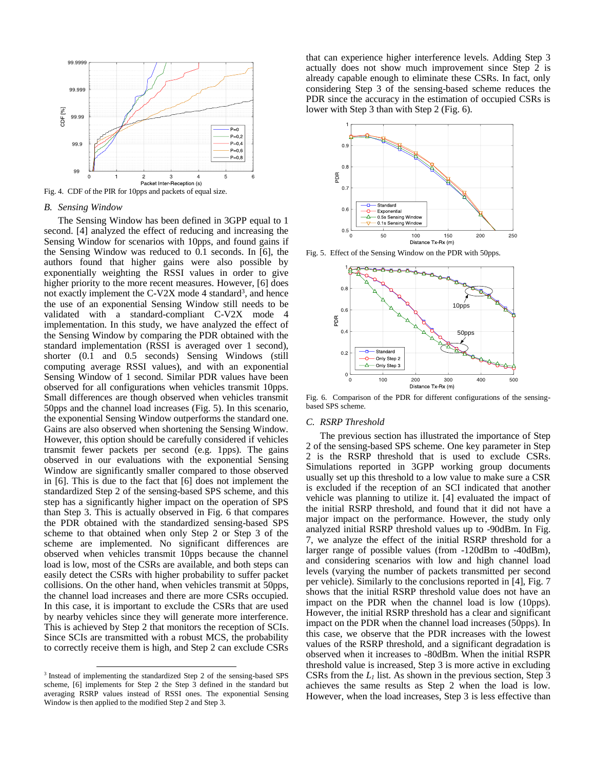

Fig. 4. CDF of the PIR for 10pps and packets of equal size.

# *B. Sensing Window*

The Sensing Window has been defined in 3GPP equal to 1 second. [4] analyzed the effect of reducing and increasing the Sensing Window for scenarios with 10pps, and found gains if the Sensing Window was reduced to 0.1 seconds. In [6], the authors found that higher gains were also possible by exponentially weighting the RSSI values in order to give higher priority to the more recent measures. However, [6] does not exactly implement the C-V2X mode 4 standard<sup>3</sup>, and hence the use of an exponential Sensing Window still needs to be validated with a standard-compliant C-V2X mode 4 implementation. In this study, we have analyzed the effect of the Sensing Window by comparing the PDR obtained with the standard implementation (RSSI is averaged over 1 second), shorter (0.1 and 0.5 seconds) Sensing Windows (still computing average RSSI values), and with an exponential Sensing Window of 1 second. Similar PDR values have been observed for all configurations when vehicles transmit 10pps. Small differences are though observed when vehicles transmit 50pps and the channel load increases (Fig. 5). In this scenario, the exponential Sensing Window outperforms the standard one. Gains are also observed when shortening the Sensing Window. However, this option should be carefully considered if vehicles transmit fewer packets per second (e.g. 1pps). The gains observed in our evaluations with the exponential Sensing Window are significantly smaller compared to those observed in [6]. This is due to the fact that [6] does not implement the standardized Step 2 of the sensing-based SPS scheme, and this step has a significantly higher impact on the operation of SPS than Step 3. This is actually observed in Fig. 6 that compares the PDR obtained with the standardized sensing-based SPS scheme to that obtained when only Step 2 or Step 3 of the scheme are implemented. No significant differences are observed when vehicles transmit 10pps because the channel load is low, most of the CSRs are available, and both steps can easily detect the CSRs with higher probability to suffer packet collisions. On the other hand, when vehicles transmit at 50pps, the channel load increases and there are more CSRs occupied. In this case, it is important to exclude the CSRs that are used by nearby vehicles since they will generate more interference. This is achieved by Step 2 that monitors the reception of SCIs. Since SCIs are transmitted with a robust MCS, the probability to correctly receive them is high, and Step 2 can exclude CSRs

l

that can experience higher interference levels. Adding Step 3 actually does not show much improvement since Step 2 is already capable enough to eliminate these CSRs. In fact, only considering Step 3 of the sensing-based scheme reduces the PDR since the accuracy in the estimation of occupied CSRs is lower with Step 3 than with Step 2 (Fig. 6).



Fig. 5. Effect of the Sensing Window on the PDR with 50pps.



Fig. 6. Comparison of the PDR for different configurations of the sensingbased SPS scheme.

#### *C. RSRP Threshold*

The previous section has illustrated the importance of Step 2 of the sensing-based SPS scheme. One key parameter in Step 2 is the RSRP threshold that is used to exclude CSRs. Simulations reported in 3GPP working group documents usually set up this threshold to a low value to make sure a CSR is excluded if the reception of an SCI indicated that another vehicle was planning to utilize it. [4] evaluated the impact of the initial RSRP threshold, and found that it did not have a major impact on the performance. However, the study only analyzed initial RSRP threshold values up to -90dBm. In Fig. 7, we analyze the effect of the initial RSRP threshold for a larger range of possible values (from -120dBm to -40dBm), and considering scenarios with low and high channel load levels (varying the number of packets transmitted per second per vehicle). Similarly to the conclusions reported in [4], Fig. 7 shows that the initial RSRP threshold value does not have an impact on the PDR when the channel load is low (10pps). However, the initial RSRP threshold has a clear and significant impact on the PDR when the channel load increases (50pps). In this case, we observe that the PDR increases with the lowest values of the RSRP threshold, and a significant degradation is observed when it increases to -80dBm. When the initial RSPR threshold value is increased, Step 3 is more active in excluding CSRs from the *L<sup>1</sup>* list. As shown in the previous section, Step 3 achieves the same results as Step 2 when the load is low. However, when the load increases, Step 3 is less effective than

<sup>&</sup>lt;sup>3</sup> Instead of implementing the standardized Step 2 of the sensing-based SPS scheme, [6] implements for Step 2 the Step 3 defined in the standard but averaging RSRP values instead of RSSI ones. The exponential Sensing Window is then applied to the modified Step 2 and Step 3.